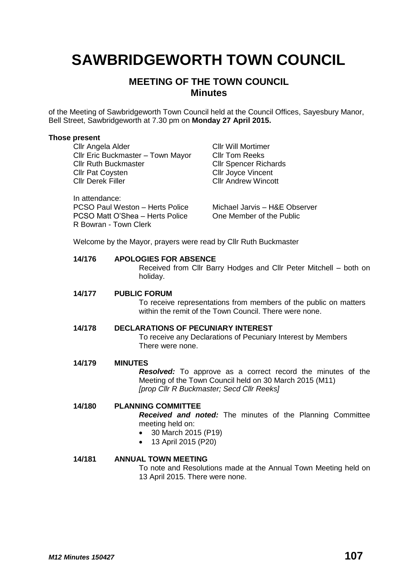# **SAWBRIDGEWORTH TOWN COUNCIL**

# **MEETING OF THE TOWN COUNCIL Minutes**

of the Meeting of Sawbridgeworth Town Council held at the Council Offices, Sayesbury Manor, Bell Street, Sawbridgeworth at 7.30 pm on **Monday 27 April 2015.**

#### **Those present**

**Cllr Angela Alder Cllr Will Mortimer** Cllr Eric Buckmaster – Town Mayor Cllr Tom Reeks Cllr Ruth Buckmaster Cllr Spencer Richards **Cllr Pat Coysten Cllr Joyce Vincent** Cllr Derek Filler Cllr Andrew Wincott In attendance: PCSO Paul Weston – Herts Police Michael Jarvis – H&E Observer<br>PCSO Matt O'Shea – Herts Police One Member of the Public PCSO Matt O'Shea – Herts Police R Bowran - Town Clerk Welcome by the Mayor, prayers were read by Cllr Ruth Buckmaster

## **14/176 APOLOGIES FOR ABSENCE**

Received from Cllr Barry Hodges and Cllr Peter Mitchell – both on holiday.

#### **14/177 PUBLIC FORUM**

To receive representations from members of the public on matters within the remit of the Town Council. There were none.

## **14/178 DECLARATIONS OF PECUNIARY INTEREST**

To receive any Declarations of Pecuniary Interest by Members There were none.

#### **14/179 MINUTES**

*Resolved:* To approve as a correct record the minutes of the Meeting of the Town Council held on 30 March 2015 (M11) *[prop Cllr R Buckmaster; Secd Cllr Reeks]*

# **14/180 PLANNING COMMITTEE**

*Received and noted:* The minutes of the Planning Committee meeting held on:

- 30 March 2015 (P19)
- 13 April 2015 (P20)

# **14/181 ANNUAL TOWN MEETING**

To note and Resolutions made at the Annual Town Meeting held on 13 April 2015. There were none.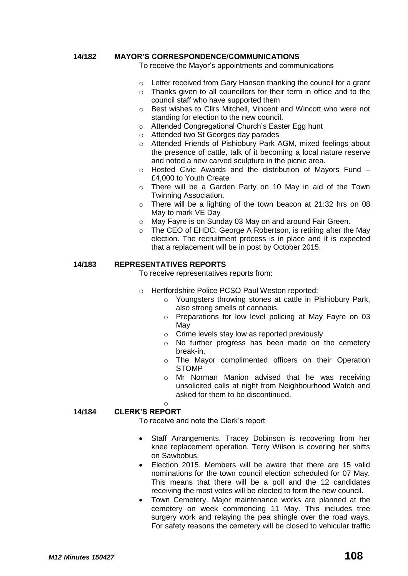## **14/182 MAYOR'S CORRESPONDENCE/COMMUNICATIONS**

To receive the Mayor's appointments and communications

- o Letter received from Gary Hanson thanking the council for a grant
- o Thanks given to all councillors for their term in office and to the council staff who have supported them
- o Best wishes to Cllrs Mitchell, Vincent and Wincott who were not standing for election to the new council.
- o Attended Congregational Church's Easter Egg hunt
- o Attended two St Georges day parades
- o Attended Friends of Pishiobury Park AGM, mixed feelings about the presence of cattle, talk of it becoming a local nature reserve and noted a new carved sculpture in the picnic area.
- $\circ$  Hosted Civic Awards and the distribution of Mayors Fund  $-$ £4,000 to Youth Create
- o There will be a Garden Party on 10 May in aid of the Town Twinning Association.
- o There will be a lighting of the town beacon at 21:32 hrs on 08 May to mark VE Day
- o May Fayre is on Sunday 03 May on and around Fair Green.
- o The CEO of EHDC, George A Robertson, is retiring after the May election. The recruitment process is in place and it is expected that a replacement will be in post by October 2015.

#### **14/183 REPRESENTATIVES REPORTS**

To receive representatives reports from:

- o Hertfordshire Police PCSO Paul Weston reported:
	- o Youngsters throwing stones at cattle in Pishiobury Park, also strong smells of cannabis.
	- o Preparations for low level policing at May Fayre on 03 May
	- o Crime levels stay low as reported previously
	- o No further progress has been made on the cemetery break-in.
	- o The Mayor complimented officers on their Operation STOMP
	- o Mr Norman Manion advised that he was receiving unsolicited calls at night from Neighbourhood Watch and asked for them to be discontinued.

# **14/184 CLERK'S REPORT**

o

To receive and note the Clerk's report

- Staff Arrangements. Tracey Dobinson is recovering from her knee replacement operation. Terry Wilson is covering her shifts on Sawbobus.
- Election 2015. Members will be aware that there are 15 valid nominations for the town council election scheduled for 07 May. This means that there will be a poll and the 12 candidates receiving the most votes will be elected to form the new council.
- Town Cemetery. Major maintenance works are planned at the cemetery on week commencing 11 May. This includes tree surgery work and relaying the pea shingle over the road ways. For safety reasons the cemetery will be closed to vehicular traffic